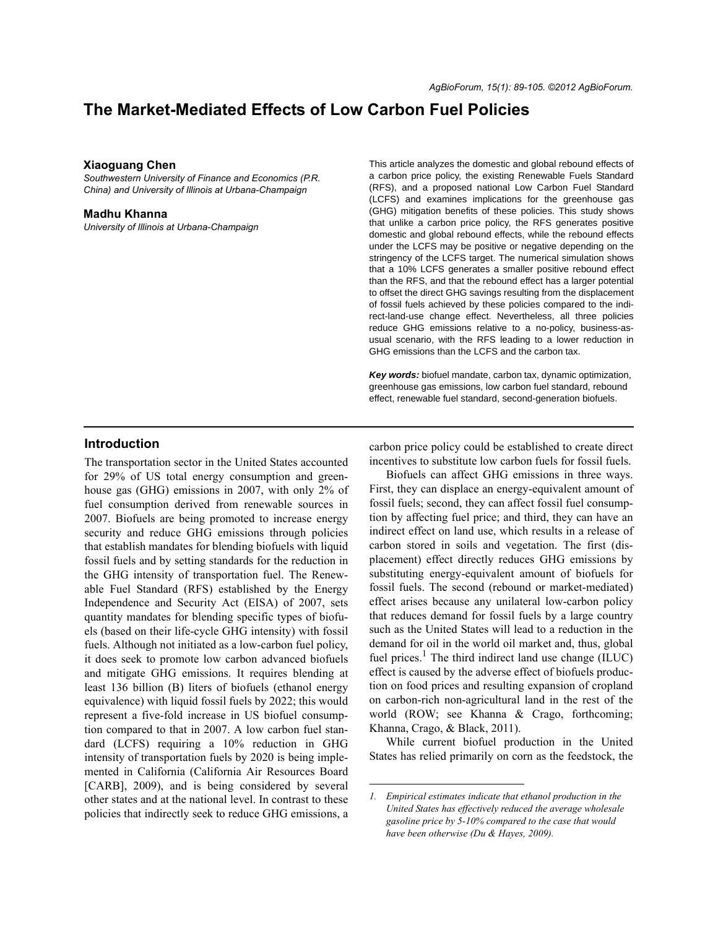# **The Market-Mediated Effects of Low Carbon Fuel Policies**

#### **Xiaoguang Chen**

*Southwestern University of Finance and Economics (P.R. China) and University of Illinois at Urbana-Champaign*

#### **Madhu Khanna**

*University of Illinois at Urbana-Champaign*

This article analyzes the domestic and global rebound effects of a carbon price policy, the existing Renewable Fuels Standard (RFS), and a proposed national Low Carbon Fuel Standard (LCFS) and examines implications for the greenhouse gas (GHG) mitigation benefits of these policies. This study shows that unlike a carbon price policy, the RFS generates positive domestic and global rebound effects, while the rebound effects under the LCFS may be positive or negative depending on the stringency of the LCFS target. The numerical simulation shows that a 10% LCFS generates a smaller positive rebound effect than the RFS, and that the rebound effect has a larger potential to offset the direct GHG savings resulting from the displacement of fossil fuels achieved by these policies compared to the indirect-land-use change effect. Nevertheless, all three policies reduce GHG emissions relative to a no-policy, business-asusual scenario, with the RFS leading to a lower reduction in GHG emissions than the LCFS and the carbon tax.

*Key words:* biofuel mandate, carbon tax, dynamic optimization, greenhouse gas emissions, low carbon fuel standard, rebound effect, renewable fuel standard, second-generation biofuels.

# **Introduction**

The transportation sector in the United States accounted for 29% of US total energy consumption and greenhouse gas (GHG) emissions in 2007, with only 2% of fuel consumption derived from renewable sources in 2007. Biofuels are being promoted to increase energy security and reduce GHG emissions through policies that establish mandates for blending biofuels with liquid fossil fuels and by setting standards for the reduction in the GHG intensity of transportation fuel. The Renewable Fuel Standard (RFS) established by the Energy Independence and Security Act (EISA) of 2007, sets quantity mandates for blending specific types of biofuels (based on their life-cycle GHG intensity) with fossil fuels. Although not initiated as a low-carbon fuel policy, it does seek to promote low carbon advanced biofuels and mitigate GHG emissions. It requires blending at least 136 billion (B) liters of biofuels (ethanol energy equivalence) with liquid fossil fuels by 2022; this would represent a five-fold increase in US biofuel consumption compared to that in 2007. A low carbon fuel standard (LCFS) requiring a 10% reduction in GHG intensity of transportation fuels by 2020 is being implemented in California (California Air Resources Board [CARB], 2009), and is being considered by several other states and at the national level. In contrast to these policies that indirectly seek to reduce GHG emissions, a

carbon price policy could be established to create direct incentives to substitute low carbon fuels for fossil fuels.

Biofuels can affect GHG emissions in three ways. First, they can displace an energy-equivalent amount of fossil fuels; second, they can affect fossil fuel consumption by affecting fuel price; and third, they can have an indirect effect on land use, which results in a release of carbon stored in soils and vegetation. The first (displacement) effect directly reduces GHG emissions by substituting energy-equivalent amount of biofuels for fossil fuels. The second (rebound or market-mediated) effect arises because any unilateral low-carbon policy that reduces demand for fossil fuels by a large country such as the United States will lead to a reduction in the demand for oil in the world oil market and, thus, global fuel prices. $<sup>1</sup>$  The third indirect land use change (ILUC)</sup> effect is caused by the adverse effect of biofuels production on food prices and resulting expansion of cropland on carbon-rich non-agricultural land in the rest of the world (ROW; see Khanna & Crago, forthcoming; Khanna, Crago, & Black, 2011).

While current biofuel production in the United States has relied primarily on corn as the feedstock, the

*<sup>1.</sup> Empirical estimates indicate that ethanol production in the United States has effectively reduced the average wholesale gasoline price by 5-10% compared to the case that would have been otherwise (Du & Hayes, 2009).*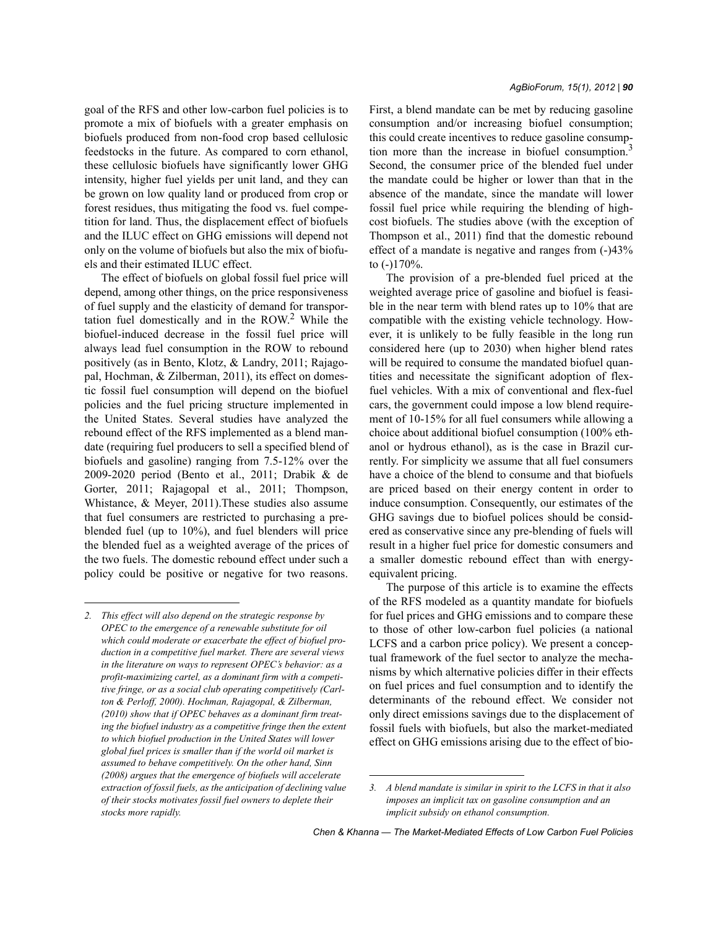goal of the RFS and other low-carbon fuel policies is to promote a mix of biofuels with a greater emphasis on biofuels produced from non-food crop based cellulosic feedstocks in the future. As compared to corn ethanol, these cellulosic biofuels have significantly lower GHG intensity, higher fuel yields per unit land, and they can be grown on low quality land or produced from crop or forest residues, thus mitigating the food vs. fuel competition for land. Thus, the displacement effect of biofuels and the ILUC effect on GHG emissions will depend not only on the volume of biofuels but also the mix of biofuels and their estimated ILUC effect.

The effect of biofuels on global fossil fuel price will depend, among other things, on the price responsiveness of fuel supply and the elasticity of demand for transportation fuel domestically and in the  $ROW<sup>2</sup>$  While the biofuel-induced decrease in the fossil fuel price will always lead fuel consumption in the ROW to rebound positively (as in Bento, Klotz, & Landry, 2011; Rajagopal, Hochman, & Zilberman, 2011), its effect on domestic fossil fuel consumption will depend on the biofuel policies and the fuel pricing structure implemented in the United States. Several studies have analyzed the rebound effect of the RFS implemented as a blend mandate (requiring fuel producers to sell a specified blend of biofuels and gasoline) ranging from 7.5-12% over the 2009-2020 period (Bento et al., 2011; Drabik & de Gorter, 2011; Rajagopal et al., 2011; Thompson, Whistance, & Meyer, 2011).These studies also assume that fuel consumers are restricted to purchasing a preblended fuel (up to 10%), and fuel blenders will price the blended fuel as a weighted average of the prices of the two fuels. The domestic rebound effect under such a policy could be positive or negative for two reasons. First, a blend mandate can be met by reducing gasoline consumption and/or increasing biofuel consumption; this could create incentives to reduce gasoline consumption more than the increase in biofuel consumption.<sup>3</sup> Second, the consumer price of the blended fuel under the mandate could be higher or lower than that in the absence of the mandate, since the mandate will lower fossil fuel price while requiring the blending of highcost biofuels. The studies above (with the exception of Thompson et al., 2011) find that the domestic rebound effect of a mandate is negative and ranges from (-)43% to (-)170%.

The provision of a pre-blended fuel priced at the weighted average price of gasoline and biofuel is feasible in the near term with blend rates up to 10% that are compatible with the existing vehicle technology. However, it is unlikely to be fully feasible in the long run considered here (up to 2030) when higher blend rates will be required to consume the mandated biofuel quantities and necessitate the significant adoption of flexfuel vehicles. With a mix of conventional and flex-fuel cars, the government could impose a low blend requirement of 10-15% for all fuel consumers while allowing a choice about additional biofuel consumption (100% ethanol or hydrous ethanol), as is the case in Brazil currently. For simplicity we assume that all fuel consumers have a choice of the blend to consume and that biofuels are priced based on their energy content in order to induce consumption. Consequently, our estimates of the GHG savings due to biofuel polices should be considered as conservative since any pre-blending of fuels will result in a higher fuel price for domestic consumers and a smaller domestic rebound effect than with energyequivalent pricing.

The purpose of this article is to examine the effects of the RFS modeled as a quantity mandate for biofuels for fuel prices and GHG emissions and to compare these to those of other low-carbon fuel policies (a national LCFS and a carbon price policy). We present a conceptual framework of the fuel sector to analyze the mechanisms by which alternative policies differ in their effects on fuel prices and fuel consumption and to identify the determinants of the rebound effect. We consider not only direct emissions savings due to the displacement of fossil fuels with biofuels, but also the market-mediated effect on GHG emissions arising due to the effect of bio-

*<sup>2.</sup> This effect will also depend on the strategic response by OPEC to the emergence of a renewable substitute for oil which could moderate or exacerbate the effect of biofuel production in a competitive fuel market. There are several views in the literature on ways to represent OPEC's behavior: as a profit-maximizing cartel, as a dominant firm with a competitive fringe, or as a social club operating competitively (Carlton & Perloff, 2000). Hochman, Rajagopal, & Zilberman, (2010) show that if OPEC behaves as a dominant firm treating the biofuel industry as a competitive fringe then the extent to which biofuel production in the United States will lower global fuel prices is smaller than if the world oil market is assumed to behave competitively. On the other hand, Sinn (2008) argues that the emergence of biofuels will accelerate extraction of fossil fuels, as the anticipation of declining value of their stocks motivates fossil fuel owners to deplete their stocks more rapidly.*

*<sup>3.</sup> A blend mandate is similar in spirit to the LCFS in that it also imposes an implicit tax on gasoline consumption and an implicit subsidy on ethanol consumption.*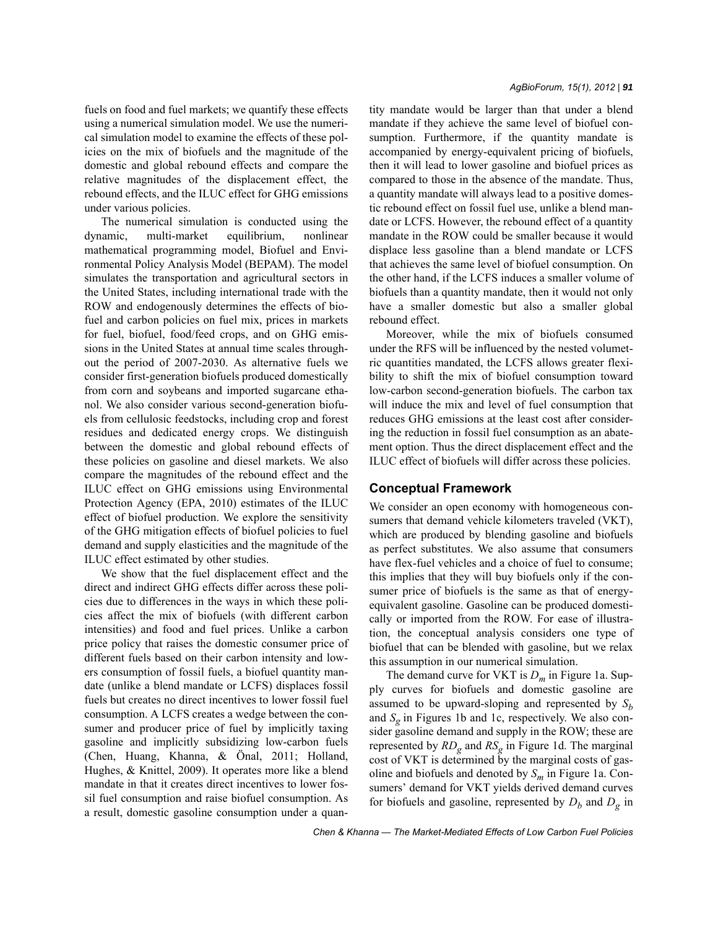fuels on food and fuel markets; we quantify these effects using a numerical simulation model. We use the numerical simulation model to examine the effects of these policies on the mix of biofuels and the magnitude of the domestic and global rebound effects and compare the relative magnitudes of the displacement effect, the rebound effects, and the ILUC effect for GHG emissions under various policies.

The numerical simulation is conducted using the dynamic, multi-market equilibrium, nonlinear mathematical programming model, Biofuel and Environmental Policy Analysis Model (BEPAM). The model simulates the transportation and agricultural sectors in the United States, including international trade with the ROW and endogenously determines the effects of biofuel and carbon policies on fuel mix, prices in markets for fuel, biofuel, food/feed crops, and on GHG emissions in the United States at annual time scales throughout the period of 2007-2030. As alternative fuels we consider first-generation biofuels produced domestically from corn and soybeans and imported sugarcane ethanol. We also consider various second-generation biofuels from cellulosic feedstocks, including crop and forest residues and dedicated energy crops. We distinguish between the domestic and global rebound effects of these policies on gasoline and diesel markets. We also compare the magnitudes of the rebound effect and the ILUC effect on GHG emissions using Environmental Protection Agency (EPA, 2010) estimates of the ILUC effect of biofuel production. We explore the sensitivity of the GHG mitigation effects of biofuel policies to fuel demand and supply elasticities and the magnitude of the ILUC effect estimated by other studies.

We show that the fuel displacement effect and the direct and indirect GHG effects differ across these policies due to differences in the ways in which these policies affect the mix of biofuels (with different carbon intensities) and food and fuel prices. Unlike a carbon price policy that raises the domestic consumer price of different fuels based on their carbon intensity and lowers consumption of fossil fuels, a biofuel quantity mandate (unlike a blend mandate or LCFS) displaces fossil fuels but creates no direct incentives to lower fossil fuel consumption. A LCFS creates a wedge between the consumer and producer price of fuel by implicitly taxing gasoline and implicitly subsidizing low-carbon fuels (Chen, Huang, Khanna, & Önal, 2011; Holland, Hughes, & Knittel, 2009). It operates more like a blend mandate in that it creates direct incentives to lower fossil fuel consumption and raise biofuel consumption. As a result, domestic gasoline consumption under a quantity mandate would be larger than that under a blend mandate if they achieve the same level of biofuel consumption. Furthermore, if the quantity mandate is accompanied by energy-equivalent pricing of biofuels, then it will lead to lower gasoline and biofuel prices as compared to those in the absence of the mandate. Thus, a quantity mandate will always lead to a positive domestic rebound effect on fossil fuel use, unlike a blend mandate or LCFS. However, the rebound effect of a quantity mandate in the ROW could be smaller because it would displace less gasoline than a blend mandate or LCFS that achieves the same level of biofuel consumption. On the other hand, if the LCFS induces a smaller volume of biofuels than a quantity mandate, then it would not only have a smaller domestic but also a smaller global rebound effect.

Moreover, while the mix of biofuels consumed under the RFS will be influenced by the nested volumetric quantities mandated, the LCFS allows greater flexibility to shift the mix of biofuel consumption toward low-carbon second-generation biofuels. The carbon tax will induce the mix and level of fuel consumption that reduces GHG emissions at the least cost after considering the reduction in fossil fuel consumption as an abatement option. Thus the direct displacement effect and the ILUC effect of biofuels will differ across these policies.

#### **Conceptual Framework**

We consider an open economy with homogeneous consumers that demand vehicle kilometers traveled (VKT), which are produced by blending gasoline and biofuels as perfect substitutes. We also assume that consumers have flex-fuel vehicles and a choice of fuel to consume; this implies that they will buy biofuels only if the consumer price of biofuels is the same as that of energyequivalent gasoline. Gasoline can be produced domestically or imported from the ROW. For ease of illustration, the conceptual analysis considers one type of biofuel that can be blended with gasoline, but we relax this assumption in our numerical simulation.

The demand curve for VKT is *Dm* in Figure 1a. Supply curves for biofuels and domestic gasoline are assumed to be upward-sloping and represented by  $S_h$ and  $S_g$  in Figures 1b and 1c, respectively. We also consider gasoline demand and supply in the ROW; these are represented by  $RD_g$  and  $RS_g$  in Figure 1d. The marginal cost of VKT is determined by the marginal costs of gasoline and biofuels and denoted by *Sm* in Figure 1a. Consumers' demand for VKT yields derived demand curves for biofuels and gasoline, represented by  $D_b$  and  $D_g$  in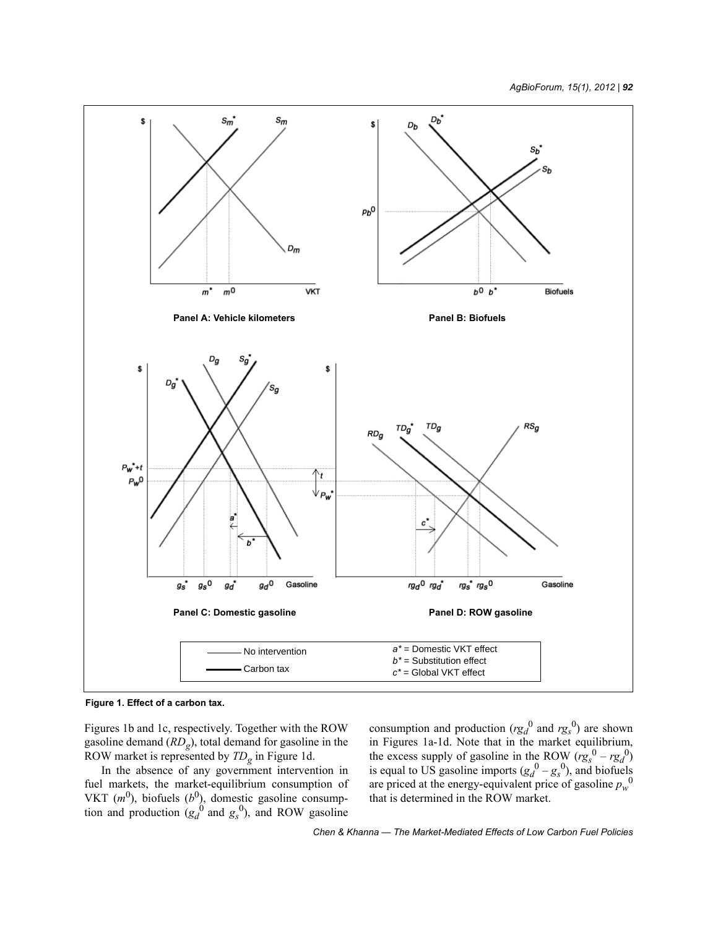

**Figure 1. Effect of a carbon tax.**

Figures 1b and 1c, respectively. Together with the ROW gasoline demand (*RDg*), total demand for gasoline in the ROW market is represented by *TDg* in Figure 1d.

In the absence of any government intervention in fuel markets, the market-equilibrium consumption of VKT  $(m^0)$ , biofuels  $(b^0)$ , domestic gasoline consumption and production  $(g_d^0$  and  $g_s^0$ ), and ROW gasoline

consumption and production  $(rg_d^0$  and  $rg_s^0)$  are shown in Figures 1a-1d. Note that in the market equilibrium, the excess supply of gasoline in the ROW  $(rg_s^0 - rg_d^0)$ is equal to US gasoline imports  $(g_d^0 - g_s^0)$ , and biofuels are priced at the energy-equivalent price of gasoline  $p_w^0$ that is determined in the ROW market.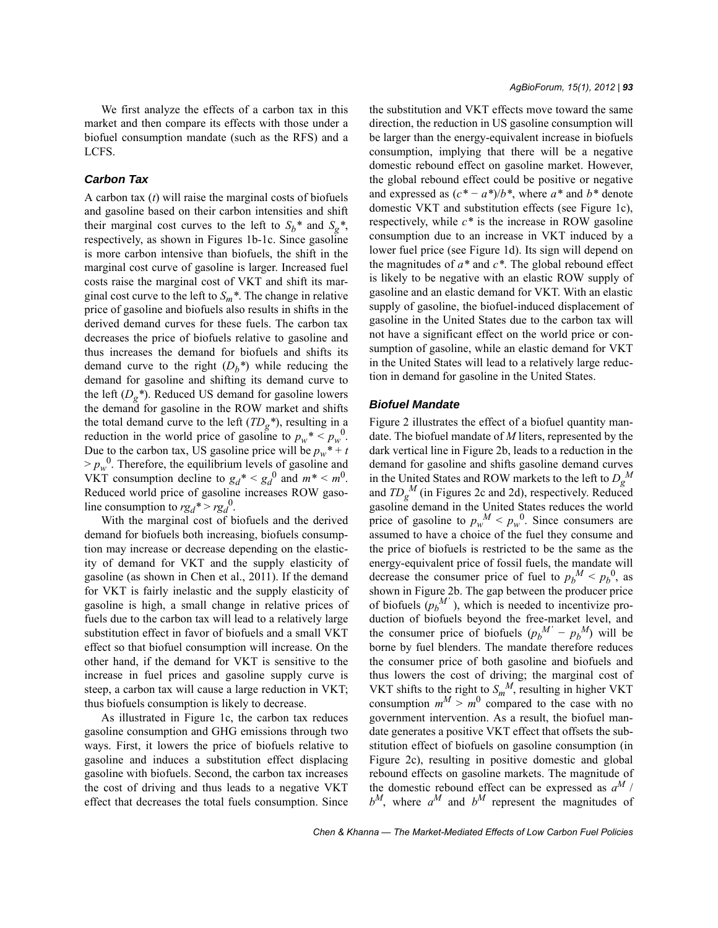We first analyze the effects of a carbon tax in this market and then compare its effects with those under a biofuel consumption mandate (such as the RFS) and a LCFS.

# *Carbon Tax*

A carbon tax (*t*) will raise the marginal costs of biofuels and gasoline based on their carbon intensities and shift their marginal cost curves to the left to  $S_b^*$  and  $S_g^*$ , respectively, as shown in Figures 1b-1c. Since gasoline is more carbon intensive than biofuels, the shift in the marginal cost curve of gasoline is larger. Increased fuel costs raise the marginal cost of VKT and shift its marginal cost curve to the left to  $S_m^*$ . The change in relative price of gasoline and biofuels also results in shifts in the derived demand curves for these fuels. The carbon tax decreases the price of biofuels relative to gasoline and thus increases the demand for biofuels and shifts its demand curve to the right  $(D_b^*)$  while reducing the demand for gasoline and shifting its demand curve to the left  $(D_g^*)$ . Reduced US demand for gasoline lowers the demand for gasoline in the ROW market and shifts the total demand curve to the left  $(TD_g^*)$ , resulting in a reduction in the world price of gasoline to  $p_w^* \leq p_w^0$ . Due to the carbon tax, US gasoline price will be  $p_w^* + t$  $> p_w^0$ . Therefore, the equilibrium levels of gasoline and VKT consumption decline to  $g_d^* < g_d^0$  and  $m^* < m^0$ . Reduced world price of gasoline increases ROW gasoline consumption to  $rg_d^* > rg_d^0$ .

With the marginal cost of biofuels and the derived demand for biofuels both increasing, biofuels consumption may increase or decrease depending on the elasticity of demand for VKT and the supply elasticity of gasoline (as shown in Chen et al., 2011). If the demand for VKT is fairly inelastic and the supply elasticity of gasoline is high, a small change in relative prices of fuels due to the carbon tax will lead to a relatively large substitution effect in favor of biofuels and a small VKT effect so that biofuel consumption will increase. On the other hand, if the demand for VKT is sensitive to the increase in fuel prices and gasoline supply curve is steep, a carbon tax will cause a large reduction in VKT; thus biofuels consumption is likely to decrease.

As illustrated in Figure 1c, the carbon tax reduces gasoline consumption and GHG emissions through two ways. First, it lowers the price of biofuels relative to gasoline and induces a substitution effect displacing gasoline with biofuels. Second, the carbon tax increases the cost of driving and thus leads to a negative VKT effect that decreases the total fuels consumption. Since the substitution and VKT effects move toward the same direction, the reduction in US gasoline consumption will be larger than the energy-equivalent increase in biofuels consumption, implying that there will be a negative domestic rebound effect on gasoline market. However, the global rebound effect could be positive or negative and expressed as  $(c^* - a^*)/b^*$ , where  $a^*$  and  $b^*$  denote domestic VKT and substitution effects (see Figure 1c), respectively, while *c\** is the increase in ROW gasoline consumption due to an increase in VKT induced by a lower fuel price (see Figure 1d). Its sign will depend on the magnitudes of *a\** and *c\**. The global rebound effect is likely to be negative with an elastic ROW supply of gasoline and an elastic demand for VKT. With an elastic supply of gasoline, the biofuel-induced displacement of gasoline in the United States due to the carbon tax will not have a significant effect on the world price or consumption of gasoline, while an elastic demand for VKT in the United States will lead to a relatively large reduction in demand for gasoline in the United States.

### *Biofuel Mandate*

Figure 2 illustrates the effect of a biofuel quantity mandate. The biofuel mandate of *M* liters, represented by the dark vertical line in Figure 2b, leads to a reduction in the demand for gasoline and shifts gasoline demand curves in the United States and ROW markets to the left to  $D_g^M$ and  $TD_g^M$  (in Figures 2c and 2d), respectively. Reduced gasoline demand in the United States reduces the world price of gasoline to  $p_w^M < p_w^0$ . Since consumers are assumed to have a choice of the fuel they consume and the price of biofuels is restricted to be the same as the energy-equivalent price of fossil fuels, the mandate will decrease the consumer price of fuel to  $p_b^M < p_b^0$ , as shown in Figure 2b. The gap between the producer price of biofuels  $(p_b^M)$ , which is needed to incentivize production of biofuels beyond the free-market level, and the consumer price of biofuels  $(p_b^M - p_b^M)$  will be borne by fuel blenders. The mandate therefore reduces the consumer price of both gasoline and biofuels and thus lowers the cost of driving; the marginal cost of VKT shifts to the right to  $S_m^M$ , resulting in higher VKT consumption  $m^M > m^0$  compared to the case with no government intervention. As a result, the biofuel mandate generates a positive VKT effect that offsets the substitution effect of biofuels on gasoline consumption (in Figure 2c), resulting in positive domestic and global rebound effects on gasoline markets. The magnitude of the domestic rebound effect can be expressed as *aM* /  $b^M$ , where  $a^M$  and  $b^M$  represent the magnitudes of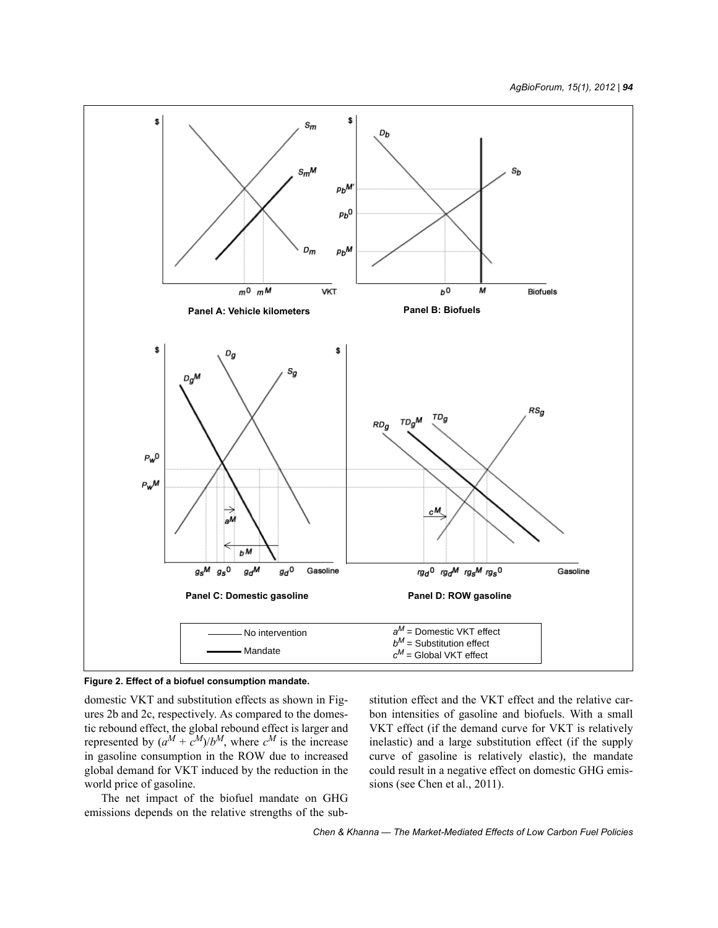



domestic VKT and substitution effects as shown in Figures 2b and 2c, respectively. As compared to the domestic rebound effect, the global rebound effect is larger and represented by  $(a^M + c^M)/b^M$ , where  $c^M$  is the increase in gasoline consumption in the ROW due to increased global demand for VKT induced by the reduction in the world price of gasoline.

The net impact of the biofuel mandate on GHG emissions depends on the relative strengths of the substitution effect and the VKT effect and the relative carbon intensities of gasoline and biofuels. With a small VKT effect (if the demand curve for VKT is relatively inelastic) and a large substitution effect (if the supply curve of gasoline is relatively elastic), the mandate could result in a negative effect on domestic GHG emissions (see Chen et al., 2011).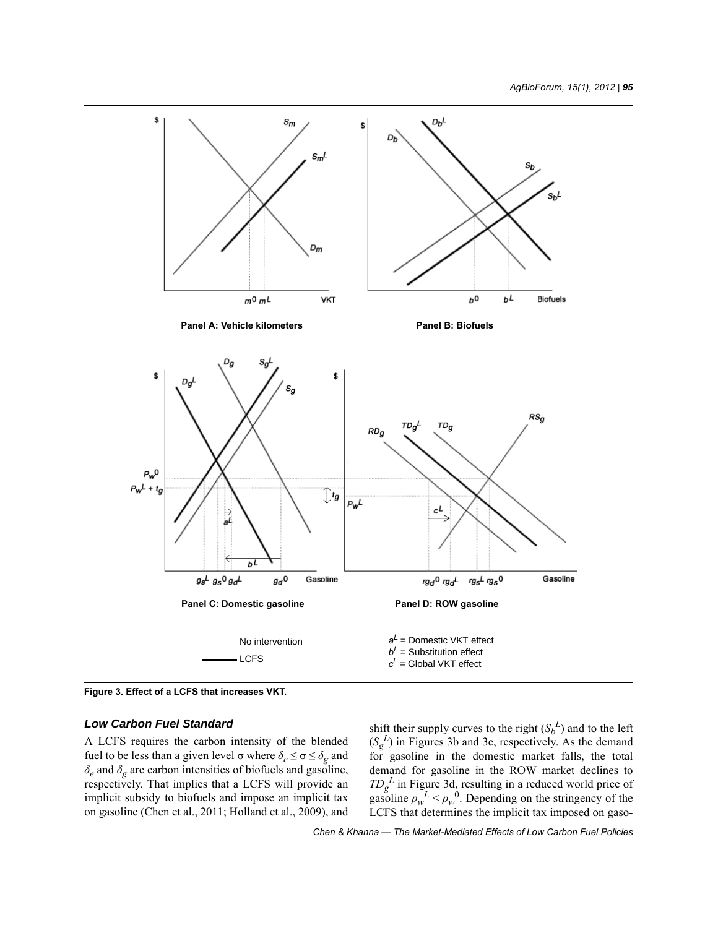

**Figure 3. Effect of a LCFS that increases VKT.**

# *Low Carbon Fuel Standard*

A LCFS requires the carbon intensity of the blended fuel to be less than a given level σ where  $\delta_e \le \sigma \le \delta_g$  and  $\delta_e$  and  $\delta_g$  are carbon intensities of biofuels and gasoline, respectively. That implies that a LCFS will provide an implicit subsidy to biofuels and impose an implicit tax on gasoline (Chen et al., 2011; Holland et al., 2009), and

shift their supply curves to the right  $(S_b^L)$  and to the left  $(S_g^L)$  in Figures 3b and 3c, respectively. As the demand for gasoline in the domestic market falls, the total demand for gasoline in the ROW market declines to  $TD_g^L$  in Figure 3d, resulting in a reduced world price of gasoline  $p_w^L < p_w^0$ . Depending on the stringency of the LCFS that determines the implicit tax imposed on gaso-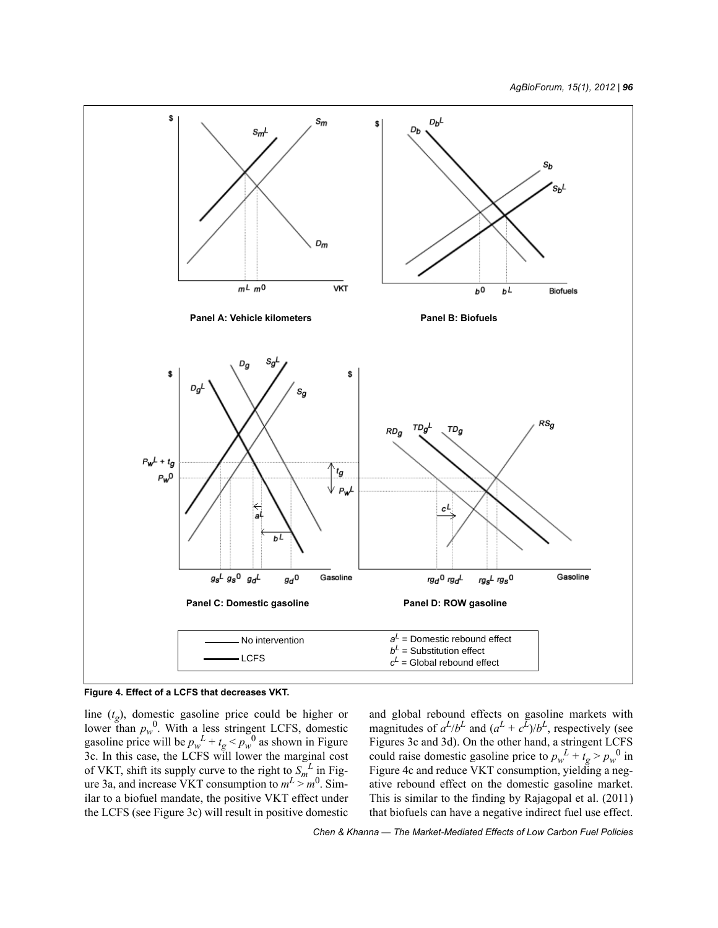



line (*tg*), domestic gasoline price could be higher or lower than  $p_w^0$ . With a less stringent LCFS, domestic gasoline price will be  $p_w^L + t_g < p_w^0$  as shown in Figure 3c. In this case, the LCFS will lower the marginal cost of VKT, shift its supply curve to the right to  $S_m^L$  in Figure 3a, and increase VKT consumption to  $m^2 > m^0$ . Similar to a biofuel mandate, the positive VKT effect under the LCFS (see Figure 3c) will result in positive domestic and global rebound effects on gasoline markets with magnitudes of  $a^L/b^L$  and  $(a^L + c^L)/b^L$ , respectively (see Figures 3c and 3d). On the other hand, a stringent LCFS could raise domestic gasoline price to  $p_w^L + t_g > p_w^0$  in Figure 4c and reduce VKT consumption, yielding a negative rebound effect on the domestic gasoline market. This is similar to the finding by Rajagopal et al. (2011) that biofuels can have a negative indirect fuel use effect.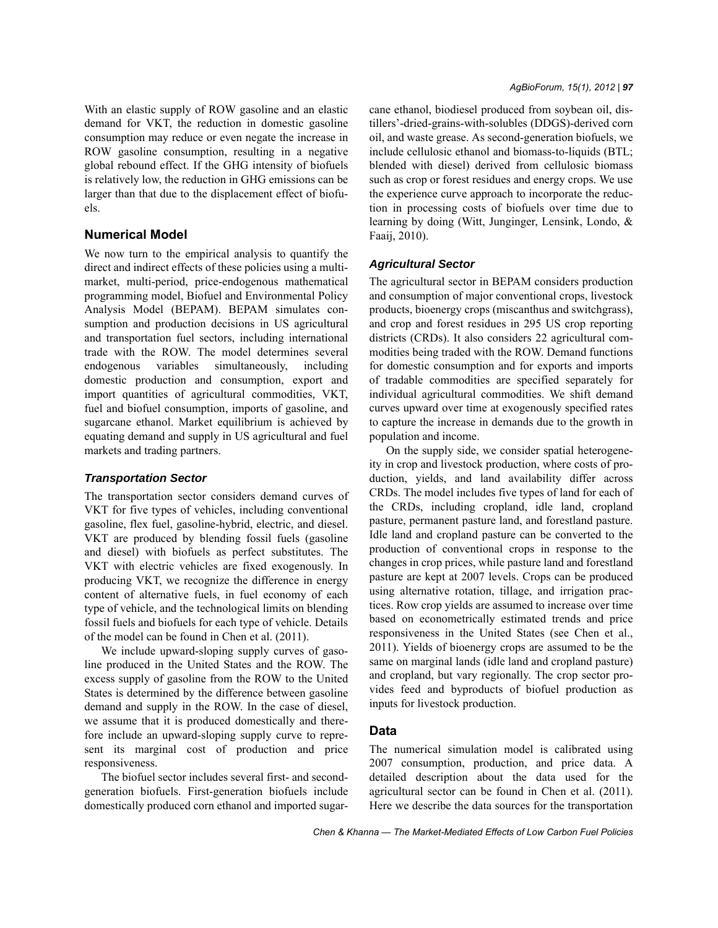With an elastic supply of ROW gasoline and an elastic demand for VKT, the reduction in domestic gasoline consumption may reduce or even negate the increase in ROW gasoline consumption, resulting in a negative global rebound effect. If the GHG intensity of biofuels is relatively low, the reduction in GHG emissions can be larger than that due to the displacement effect of biofuels.

## **Numerical Model**

We now turn to the empirical analysis to quantify the direct and indirect effects of these policies using a multimarket, multi-period, price-endogenous mathematical programming model, Biofuel and Environmental Policy Analysis Model (BEPAM). BEPAM simulates consumption and production decisions in US agricultural and transportation fuel sectors, including international trade with the ROW. The model determines several endogenous variables simultaneously, including domestic production and consumption, export and import quantities of agricultural commodities, VKT, fuel and biofuel consumption, imports of gasoline, and sugarcane ethanol. Market equilibrium is achieved by equating demand and supply in US agricultural and fuel markets and trading partners.

## *Transportation Sector*

The transportation sector considers demand curves of VKT for five types of vehicles, including conventional gasoline, flex fuel, gasoline-hybrid, electric, and diesel. VKT are produced by blending fossil fuels (gasoline and diesel) with biofuels as perfect substitutes. The VKT with electric vehicles are fixed exogenously. In producing VKT, we recognize the difference in energy content of alternative fuels, in fuel economy of each type of vehicle, and the technological limits on blending fossil fuels and biofuels for each type of vehicle. Details of the model can be found in Chen et al. (2011).

We include upward-sloping supply curves of gasoline produced in the United States and the ROW. The excess supply of gasoline from the ROW to the United States is determined by the difference between gasoline demand and supply in the ROW. In the case of diesel, we assume that it is produced domestically and therefore include an upward-sloping supply curve to represent its marginal cost of production and price responsiveness.

The biofuel sector includes several first- and secondgeneration biofuels. First-generation biofuels include domestically produced corn ethanol and imported sugarcane ethanol, biodiesel produced from soybean oil, distillers'-dried-grains-with-solubles (DDGS)-derived corn oil, and waste grease. As second-generation biofuels, we include cellulosic ethanol and biomass-to-liquids (BTL; blended with diesel) derived from cellulosic biomass such as crop or forest residues and energy crops. We use the experience curve approach to incorporate the reduction in processing costs of biofuels over time due to learning by doing (Witt, Junginger, Lensink, Londo, & Faaij, 2010).

# *Agricultural Sector*

The agricultural sector in BEPAM considers production and consumption of major conventional crops, livestock products, bioenergy crops (miscanthus and switchgrass), and crop and forest residues in 295 US crop reporting districts (CRDs). It also considers 22 agricultural commodities being traded with the ROW. Demand functions for domestic consumption and for exports and imports of tradable commodities are specified separately for individual agricultural commodities. We shift demand curves upward over time at exogenously specified rates to capture the increase in demands due to the growth in population and income.

On the supply side, we consider spatial heterogeneity in crop and livestock production, where costs of production, yields, and land availability differ across CRDs. The model includes five types of land for each of the CRDs, including cropland, idle land, cropland pasture, permanent pasture land, and forestland pasture. Idle land and cropland pasture can be converted to the production of conventional crops in response to the changes in crop prices, while pasture land and forestland pasture are kept at 2007 levels. Crops can be produced using alternative rotation, tillage, and irrigation practices. Row crop yields are assumed to increase over time based on econometrically estimated trends and price responsiveness in the United States (see Chen et al., 2011). Yields of bioenergy crops are assumed to be the same on marginal lands (idle land and cropland pasture) and cropland, but vary regionally. The crop sector provides feed and byproducts of biofuel production as inputs for livestock production.

# **Data**

The numerical simulation model is calibrated using 2007 consumption, production, and price data. A detailed description about the data used for the agricultural sector can be found in Chen et al. (2011). Here we describe the data sources for the transportation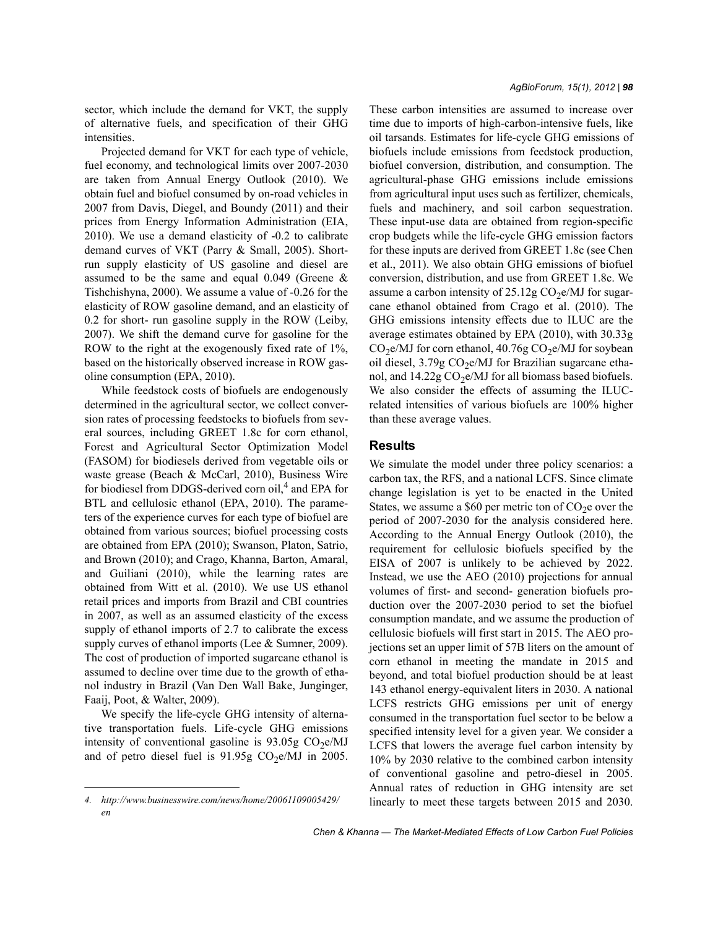sector, which include the demand for VKT, the supply of alternative fuels, and specification of their GHG intensities.

Projected demand for VKT for each type of vehicle, fuel economy, and technological limits over 2007-2030 are taken from Annual Energy Outlook (2010). We obtain fuel and biofuel consumed by on-road vehicles in 2007 from Davis, Diegel, and Boundy (2011) and their prices from Energy Information Administration (EIA, 2010). We use a demand elasticity of -0.2 to calibrate demand curves of VKT (Parry & Small, 2005). Shortrun supply elasticity of US gasoline and diesel are assumed to be the same and equal 0.049 (Greene & Tishchishyna, 2000). We assume a value of -0.26 for the elasticity of ROW gasoline demand, and an elasticity of 0.2 for short- run gasoline supply in the ROW (Leiby, 2007). We shift the demand curve for gasoline for the ROW to the right at the exogenously fixed rate of 1%, based on the historically observed increase in ROW gasoline consumption (EPA, 2010).

While feedstock costs of biofuels are endogenously determined in the agricultural sector, we collect conversion rates of processing feedstocks to biofuels from several sources, including GREET 1.8c for corn ethanol, Forest and Agricultural Sector Optimization Model (FASOM) for biodiesels derived from vegetable oils or waste grease (Beach & McCarl, 2010), Business Wire for biodiesel from DDGS-derived corn oil,<sup>4</sup> and EPA for BTL and cellulosic ethanol (EPA, 2010). The parameters of the experience curves for each type of biofuel are obtained from various sources; biofuel processing costs are obtained from EPA (2010); Swanson, Platon, Satrio, and Brown (2010); and Crago, Khanna, Barton, Amaral, and Guiliani (2010), while the learning rates are obtained from Witt et al. (2010). We use US ethanol retail prices and imports from Brazil and CBI countries in 2007, as well as an assumed elasticity of the excess supply of ethanol imports of 2.7 to calibrate the excess supply curves of ethanol imports (Lee & Sumner, 2009). The cost of production of imported sugarcane ethanol is assumed to decline over time due to the growth of ethanol industry in Brazil (Van Den Wall Bake, Junginger, Faaij, Poot, & Walter, 2009).

We specify the life-cycle GHG intensity of alternative transportation fuels. Life-cycle GHG emissions intensity of conventional gasoline is  $93.05g$  CO<sub>2</sub>e/MJ and of petro diesel fuel is  $91.95g$  CO<sub>2</sub>e/MJ in 2005.

These carbon intensities are assumed to increase over time due to imports of high-carbon-intensive fuels, like oil tarsands. Estimates for life-cycle GHG emissions of biofuels include emissions from feedstock production, biofuel conversion, distribution, and consumption. The agricultural-phase GHG emissions include emissions from agricultural input uses such as fertilizer, chemicals, fuels and machinery, and soil carbon sequestration. These input-use data are obtained from region-specific crop budgets while the life-cycle GHG emission factors for these inputs are derived from GREET 1.8c (see Chen et al., 2011). We also obtain GHG emissions of biofuel conversion, distribution, and use from GREET 1.8c. We assume a carbon intensity of  $25.12g \text{ CO}_2$ e/MJ for sugarcane ethanol obtained from Crago et al. (2010). The GHG emissions intensity effects due to ILUC are the average estimates obtained by EPA (2010), with 30.33g  $CO<sub>2</sub>e/MJ$  for corn ethanol, 40.76g  $CO<sub>2</sub>e/MJ$  for soybean oil diesel,  $3.79g$  CO<sub>2</sub>e/MJ for Brazilian sugarcane ethanol, and  $14.22g \text{CO}_2$ e/MJ for all biomass based biofuels. We also consider the effects of assuming the ILUCrelated intensities of various biofuels are 100% higher than these average values.

#### **Results**

We simulate the model under three policy scenarios: a carbon tax, the RFS, and a national LCFS. Since climate change legislation is yet to be enacted in the United States, we assume a \$60 per metric ton of  $CO<sub>2</sub>e$  over the period of 2007-2030 for the analysis considered here. According to the Annual Energy Outlook (2010), the requirement for cellulosic biofuels specified by the EISA of 2007 is unlikely to be achieved by 2022. Instead, we use the AEO (2010) projections for annual volumes of first- and second- generation biofuels production over the 2007-2030 period to set the biofuel consumption mandate, and we assume the production of cellulosic biofuels will first start in 2015. The AEO projections set an upper limit of 57B liters on the amount of corn ethanol in meeting the mandate in 2015 and beyond, and total biofuel production should be at least 143 ethanol energy-equivalent liters in 2030. A national LCFS restricts GHG emissions per unit of energy consumed in the transportation fuel sector to be below a specified intensity level for a given year. We consider a LCFS that lowers the average fuel carbon intensity by 10% by 2030 relative to the combined carbon intensity of conventional gasoline and petro-diesel in 2005. Annual rates of reduction in GHG intensity are set

*<sup>4.</sup> http://www.businesswire.com/news/home/20061109005429/* linearly to meet these targets between 2015 and 2030. *en*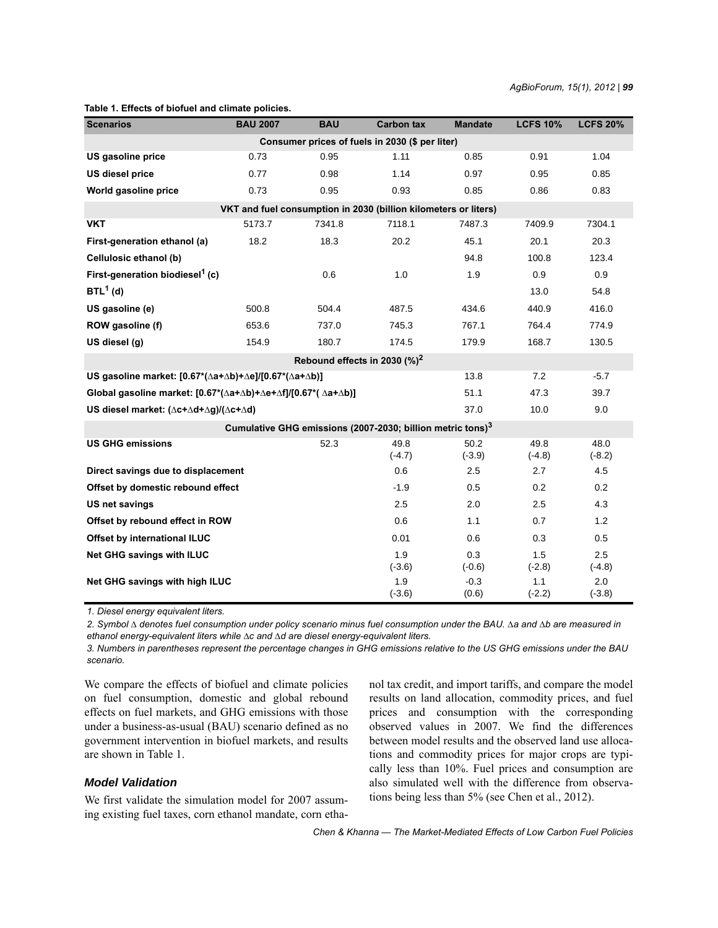| <b>Scenarios</b>                                                                                  | <b>BAU 2007</b> | <b>BAU</b> | <b>Carbon tax</b> | <b>Mandate</b>   | <b>LCFS 10%</b>  | <b>LCFS 20%</b>  |
|---------------------------------------------------------------------------------------------------|-----------------|------------|-------------------|------------------|------------------|------------------|
| Consumer prices of fuels in 2030 (\$ per liter)                                                   |                 |            |                   |                  |                  |                  |
| US gasoline price                                                                                 | 0.73            | 0.95       | 1.11              | 0.85             | 0.91             | 1.04             |
| <b>US diesel price</b>                                                                            | 0.77            | 0.98       | 1.14              | 0.97             | 0.95             | 0.85             |
| World gasoline price                                                                              | 0.73            | 0.95       | 0.93              | 0.85             | 0.86             | 0.83             |
| VKT and fuel consumption in 2030 (billion kilometers or liters)                                   |                 |            |                   |                  |                  |                  |
| <b>VKT</b>                                                                                        | 5173.7          | 7341.8     | 7118.1            | 7487.3           | 7409.9           | 7304.1           |
| First-generation ethanol (a)                                                                      | 18.2            | 18.3       | 20.2              | 45.1             | 20.1             | 20.3             |
| Cellulosic ethanol (b)                                                                            |                 |            |                   | 94.8             | 100.8            | 123.4            |
| First-generation biodiesel <sup>1</sup> (c)                                                       |                 | 0.6        | 1.0               | 1.9              | 0.9              | 0.9              |
| $BTL1$ (d)                                                                                        |                 |            |                   |                  | 13.0             | 54.8             |
| US gasoline (e)                                                                                   | 500.8           | 504.4      | 487.5             | 434.6            | 440.9            | 416.0            |
| ROW gasoline (f)                                                                                  | 653.6           | 737.0      | 745.3             | 767.1            | 764.4            | 774.9            |
| US diesel (g)                                                                                     | 154.9           | 180.7      | 174.5             | 179.9            | 168.7            | 130.5            |
| Rebound effects in 2030 (%) <sup>2</sup>                                                          |                 |            |                   |                  |                  |                  |
| US gasoline market: $[0.67*(\Delta a + \Delta b) + \Delta e]/[0.67*(\Delta a + \Delta b)]$        |                 |            |                   | 13.8             | 7.2              | $-5.7$           |
| Global gasoline market: $[0.67*(\Delta a+\Delta b)+\Delta e+\Delta f]/[0.67*(\Delta a+\Delta b)]$ |                 |            |                   | 51.1             | 47.3             | 39.7             |
| US diesel market: (∆c+∆d+∆g)/(∆c+∆d)                                                              |                 |            |                   | 37.0             | 10.0             | 9.0              |
| Cumulative GHG emissions (2007-2030; billion metric tons) <sup>3</sup>                            |                 |            |                   |                  |                  |                  |
| <b>US GHG emissions</b>                                                                           |                 | 52.3       | 49.8<br>$(-4.7)$  | 50.2<br>$(-3.9)$ | 49.8<br>$(-4.8)$ | 48.0<br>$(-8.2)$ |
| Direct savings due to displacement                                                                |                 |            | 0.6               | 2.5              | 2.7              | 4.5              |
| Offset by domestic rebound effect                                                                 |                 |            | $-1.9$            | 0.5              | 0.2              | 0.2              |
| US net savings                                                                                    |                 |            | 2.5               | 2.0              | 2.5              | 4.3              |
| Offset by rebound effect in ROW                                                                   |                 |            | 0.6               | 1.1              | 0.7              | 1.2              |
| Offset by international ILUC                                                                      |                 |            | 0.01              | 0.6              | 0.3              | 0.5              |
| <b>Net GHG savings with ILUC</b>                                                                  |                 |            | 1.9<br>$(-3.6)$   | 0.3<br>$(-0.6)$  | 1.5<br>$(-2.8)$  | 2.5<br>$(-4.8)$  |
| Net GHG savings with high ILUC                                                                    |                 |            | 1.9<br>$(-3.6)$   | $-0.3$<br>(0.6)  | 1.1<br>$(-2.2)$  | 2.0<br>$(-3.8)$  |

#### **Table 1. Effects of biofuel and climate policies.**

*1. Diesel energy equivalent liters.*

*2. Symbol ∆ denotes fuel consumption under policy scenario minus fuel consumption under the BAU. ∆a and ∆b are measured in ethanol energy-equivalent liters while ∆c and ∆d are diesel energy-equivalent liters.*

*3. Numbers in parentheses represent the percentage changes in GHG emissions relative to the US GHG emissions under the BAU scenario.*

We compare the effects of biofuel and climate policies on fuel consumption, domestic and global rebound effects on fuel markets, and GHG emissions with those under a business-as-usual (BAU) scenario defined as no government intervention in biofuel markets, and results are shown in Table 1.

# *Model Validation*

We first validate the simulation model for 2007 assuming existing fuel taxes, corn ethanol mandate, corn ethanol tax credit, and import tariffs, and compare the model results on land allocation, commodity prices, and fuel prices and consumption with the corresponding observed values in 2007. We find the differences between model results and the observed land use allocations and commodity prices for major crops are typically less than 10%. Fuel prices and consumption are also simulated well with the difference from observations being less than 5% (see Chen et al., 2012).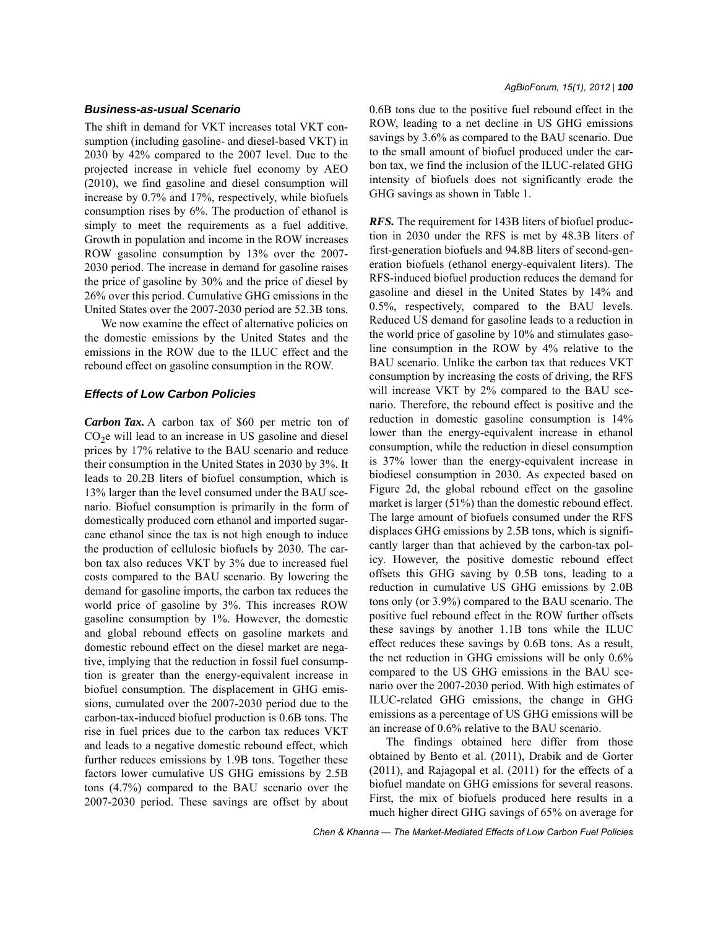# *Business-as-usual Scenario*

The shift in demand for VKT increases total VKT consumption (including gasoline- and diesel-based VKT) in 2030 by 42% compared to the 2007 level. Due to the projected increase in vehicle fuel economy by AEO (2010), we find gasoline and diesel consumption will increase by 0.7% and 17%, respectively, while biofuels consumption rises by 6%. The production of ethanol is simply to meet the requirements as a fuel additive. Growth in population and income in the ROW increases ROW gasoline consumption by 13% over the 2007- 2030 period. The increase in demand for gasoline raises the price of gasoline by 30% and the price of diesel by 26% over this period. Cumulative GHG emissions in the United States over the 2007-2030 period are 52.3B tons.

We now examine the effect of alternative policies on the domestic emissions by the United States and the emissions in the ROW due to the ILUC effect and the rebound effect on gasoline consumption in the ROW.

# *Effects of Low Carbon Policies*

*Carbon Tax.* A carbon tax of \$60 per metric ton of  $CO<sub>2</sub>e$  will lead to an increase in US gasoline and diesel prices by 17% relative to the BAU scenario and reduce their consumption in the United States in 2030 by 3%. It leads to 20.2B liters of biofuel consumption, which is 13% larger than the level consumed under the BAU scenario. Biofuel consumption is primarily in the form of domestically produced corn ethanol and imported sugarcane ethanol since the tax is not high enough to induce the production of cellulosic biofuels by 2030. The carbon tax also reduces VKT by 3% due to increased fuel costs compared to the BAU scenario. By lowering the demand for gasoline imports, the carbon tax reduces the world price of gasoline by 3%. This increases ROW gasoline consumption by 1%. However, the domestic and global rebound effects on gasoline markets and domestic rebound effect on the diesel market are negative, implying that the reduction in fossil fuel consumption is greater than the energy-equivalent increase in biofuel consumption. The displacement in GHG emissions, cumulated over the 2007-2030 period due to the carbon-tax-induced biofuel production is 0.6B tons. The rise in fuel prices due to the carbon tax reduces VKT and leads to a negative domestic rebound effect, which further reduces emissions by 1.9B tons. Together these factors lower cumulative US GHG emissions by 2.5B tons (4.7%) compared to the BAU scenario over the 2007-2030 period. These savings are offset by about 0.6B tons due to the positive fuel rebound effect in the ROW, leading to a net decline in US GHG emissions savings by 3.6% as compared to the BAU scenario. Due to the small amount of biofuel produced under the carbon tax, we find the inclusion of the ILUC-related GHG intensity of biofuels does not significantly erode the GHG savings as shown in Table 1.

**RFS.** The requirement for 143B liters of biofuel production in 2030 under the RFS is met by 48.3B liters of first-generation biofuels and 94.8B liters of second-generation biofuels (ethanol energy-equivalent liters). The RFS-induced biofuel production reduces the demand for gasoline and diesel in the United States by 14% and 0.5%, respectively, compared to the BAU levels. Reduced US demand for gasoline leads to a reduction in the world price of gasoline by 10% and stimulates gasoline consumption in the ROW by 4% relative to the BAU scenario. Unlike the carbon tax that reduces VKT consumption by increasing the costs of driving, the RFS will increase VKT by 2% compared to the BAU scenario. Therefore, the rebound effect is positive and the reduction in domestic gasoline consumption is 14% lower than the energy-equivalent increase in ethanol consumption, while the reduction in diesel consumption is 37% lower than the energy-equivalent increase in biodiesel consumption in 2030. As expected based on Figure 2d, the global rebound effect on the gasoline market is larger (51%) than the domestic rebound effect. The large amount of biofuels consumed under the RFS displaces GHG emissions by 2.5B tons, which is significantly larger than that achieved by the carbon-tax policy. However, the positive domestic rebound effect offsets this GHG saving by 0.5B tons, leading to a reduction in cumulative US GHG emissions by 2.0B tons only (or 3.9%) compared to the BAU scenario. The positive fuel rebound effect in the ROW further offsets these savings by another 1.1B tons while the ILUC effect reduces these savings by 0.6B tons. As a result, the net reduction in GHG emissions will be only 0.6% compared to the US GHG emissions in the BAU scenario over the 2007-2030 period. With high estimates of ILUC-related GHG emissions, the change in GHG emissions as a percentage of US GHG emissions will be an increase of 0.6% relative to the BAU scenario.

The findings obtained here differ from those obtained by Bento et al. (2011), Drabik and de Gorter (2011), and Rajagopal et al. (2011) for the effects of a biofuel mandate on GHG emissions for several reasons. First, the mix of biofuels produced here results in a much higher direct GHG savings of 65% on average for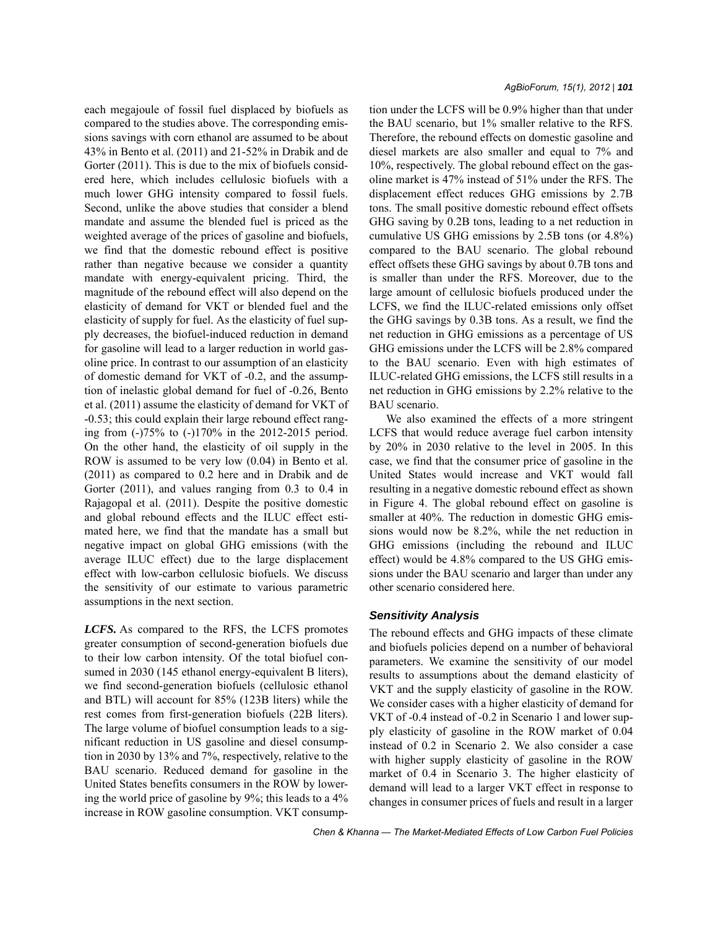each megajoule of fossil fuel displaced by biofuels as compared to the studies above. The corresponding emissions savings with corn ethanol are assumed to be about 43% in Bento et al. (2011) and 21-52% in Drabik and de Gorter (2011). This is due to the mix of biofuels considered here, which includes cellulosic biofuels with a much lower GHG intensity compared to fossil fuels. Second, unlike the above studies that consider a blend mandate and assume the blended fuel is priced as the weighted average of the prices of gasoline and biofuels, we find that the domestic rebound effect is positive rather than negative because we consider a quantity mandate with energy-equivalent pricing. Third, the magnitude of the rebound effect will also depend on the elasticity of demand for VKT or blended fuel and the elasticity of supply for fuel. As the elasticity of fuel supply decreases, the biofuel-induced reduction in demand for gasoline will lead to a larger reduction in world gasoline price. In contrast to our assumption of an elasticity of domestic demand for VKT of -0.2, and the assumption of inelastic global demand for fuel of -0.26, Bento et al. (2011) assume the elasticity of demand for VKT of -0.53; this could explain their large rebound effect ranging from (-)75% to (-)170% in the 2012-2015 period. On the other hand, the elasticity of oil supply in the ROW is assumed to be very low (0.04) in Bento et al. (2011) as compared to 0.2 here and in Drabik and de Gorter (2011), and values ranging from 0.3 to 0.4 in Rajagopal et al. (2011). Despite the positive domestic and global rebound effects and the ILUC effect estimated here, we find that the mandate has a small but negative impact on global GHG emissions (with the average ILUC effect) due to the large displacement effect with low-carbon cellulosic biofuels. We discuss the sensitivity of our estimate to various parametric assumptions in the next section.

LCFS. As compared to the RFS, the LCFS promotes greater consumption of second-generation biofuels due to their low carbon intensity. Of the total biofuel consumed in 2030 (145 ethanol energy-equivalent B liters), we find second-generation biofuels (cellulosic ethanol and BTL) will account for 85% (123B liters) while the rest comes from first-generation biofuels (22B liters). The large volume of biofuel consumption leads to a significant reduction in US gasoline and diesel consumption in 2030 by 13% and 7%, respectively, relative to the BAU scenario. Reduced demand for gasoline in the United States benefits consumers in the ROW by lowering the world price of gasoline by 9%; this leads to a 4% increase in ROW gasoline consumption. VKT consumption under the LCFS will be 0.9% higher than that under the BAU scenario, but 1% smaller relative to the RFS. Therefore, the rebound effects on domestic gasoline and diesel markets are also smaller and equal to 7% and 10%, respectively. The global rebound effect on the gasoline market is 47% instead of 51% under the RFS. The displacement effect reduces GHG emissions by 2.7B tons. The small positive domestic rebound effect offsets GHG saving by 0.2B tons, leading to a net reduction in cumulative US GHG emissions by 2.5B tons (or 4.8%) compared to the BAU scenario. The global rebound effect offsets these GHG savings by about 0.7B tons and is smaller than under the RFS. Moreover, due to the large amount of cellulosic biofuels produced under the LCFS, we find the ILUC-related emissions only offset the GHG savings by 0.3B tons. As a result, we find the net reduction in GHG emissions as a percentage of US GHG emissions under the LCFS will be 2.8% compared to the BAU scenario. Even with high estimates of ILUC-related GHG emissions, the LCFS still results in a net reduction in GHG emissions by 2.2% relative to the BAU scenario.

We also examined the effects of a more stringent LCFS that would reduce average fuel carbon intensity by 20% in 2030 relative to the level in 2005. In this case, we find that the consumer price of gasoline in the United States would increase and VKT would fall resulting in a negative domestic rebound effect as shown in Figure 4. The global rebound effect on gasoline is smaller at 40%. The reduction in domestic GHG emissions would now be 8.2%, while the net reduction in GHG emissions (including the rebound and ILUC effect) would be 4.8% compared to the US GHG emissions under the BAU scenario and larger than under any other scenario considered here.

### *Sensitivity Analysis*

The rebound effects and GHG impacts of these climate and biofuels policies depend on a number of behavioral parameters. We examine the sensitivity of our model results to assumptions about the demand elasticity of VKT and the supply elasticity of gasoline in the ROW. We consider cases with a higher elasticity of demand for VKT of -0.4 instead of -0.2 in Scenario 1 and lower supply elasticity of gasoline in the ROW market of 0.04 instead of 0.2 in Scenario 2. We also consider a case with higher supply elasticity of gasoline in the ROW market of 0.4 in Scenario 3. The higher elasticity of demand will lead to a larger VKT effect in response to changes in consumer prices of fuels and result in a larger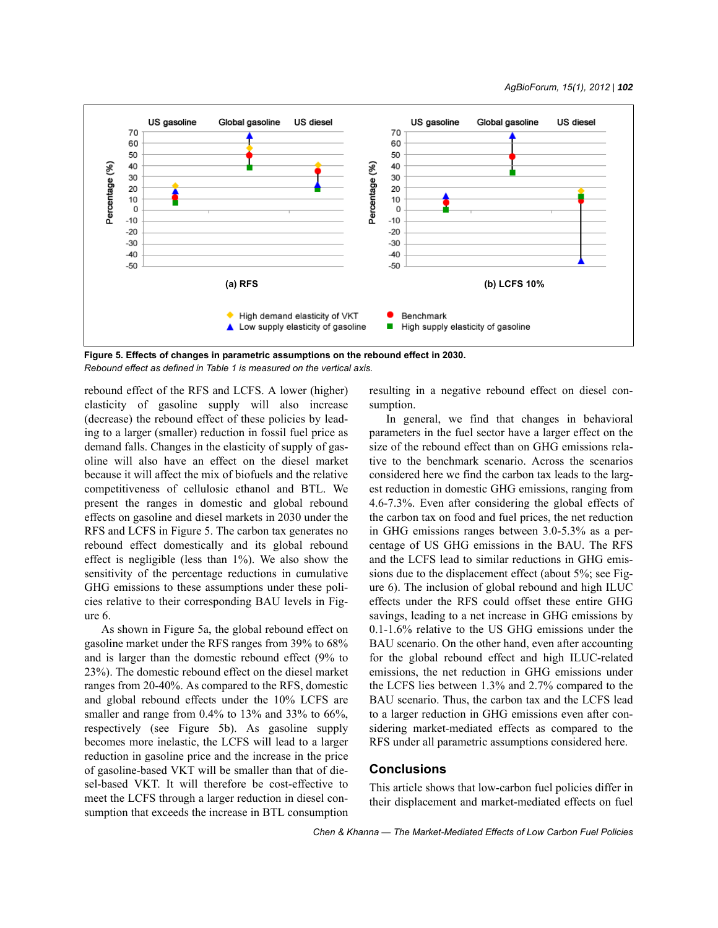

**Figure 5. Effects of changes in parametric assumptions on the rebound effect in 2030.** *Rebound effect as defined in Table 1 is measured on the vertical axis.*

rebound effect of the RFS and LCFS. A lower (higher) elasticity of gasoline supply will also increase (decrease) the rebound effect of these policies by leading to a larger (smaller) reduction in fossil fuel price as demand falls. Changes in the elasticity of supply of gasoline will also have an effect on the diesel market because it will affect the mix of biofuels and the relative competitiveness of cellulosic ethanol and BTL. We present the ranges in domestic and global rebound effects on gasoline and diesel markets in 2030 under the RFS and LCFS in Figure 5. The carbon tax generates no rebound effect domestically and its global rebound effect is negligible (less than 1%). We also show the sensitivity of the percentage reductions in cumulative GHG emissions to these assumptions under these policies relative to their corresponding BAU levels in Figure 6.

As shown in Figure 5a, the global rebound effect on gasoline market under the RFS ranges from 39% to 68% and is larger than the domestic rebound effect (9% to 23%). The domestic rebound effect on the diesel market ranges from 20-40%. As compared to the RFS, domestic and global rebound effects under the 10% LCFS are smaller and range from 0.4% to 13% and 33% to 66%, respectively (see Figure 5b). As gasoline supply becomes more inelastic, the LCFS will lead to a larger reduction in gasoline price and the increase in the price of gasoline-based VKT will be smaller than that of diesel-based VKT. It will therefore be cost-effective to meet the LCFS through a larger reduction in diesel consumption that exceeds the increase in BTL consumption resulting in a negative rebound effect on diesel consumption.

In general, we find that changes in behavioral parameters in the fuel sector have a larger effect on the size of the rebound effect than on GHG emissions relative to the benchmark scenario. Across the scenarios considered here we find the carbon tax leads to the largest reduction in domestic GHG emissions, ranging from 4.6-7.3%. Even after considering the global effects of the carbon tax on food and fuel prices, the net reduction in GHG emissions ranges between 3.0-5.3% as a percentage of US GHG emissions in the BAU. The RFS and the LCFS lead to similar reductions in GHG emissions due to the displacement effect (about 5%; see Figure 6). The inclusion of global rebound and high ILUC effects under the RFS could offset these entire GHG savings, leading to a net increase in GHG emissions by 0.1-1.6% relative to the US GHG emissions under the BAU scenario. On the other hand, even after accounting for the global rebound effect and high ILUC-related emissions, the net reduction in GHG emissions under the LCFS lies between 1.3% and 2.7% compared to the BAU scenario. Thus, the carbon tax and the LCFS lead to a larger reduction in GHG emissions even after considering market-mediated effects as compared to the RFS under all parametric assumptions considered here.

### **Conclusions**

This article shows that low-carbon fuel policies differ in their displacement and market-mediated effects on fuel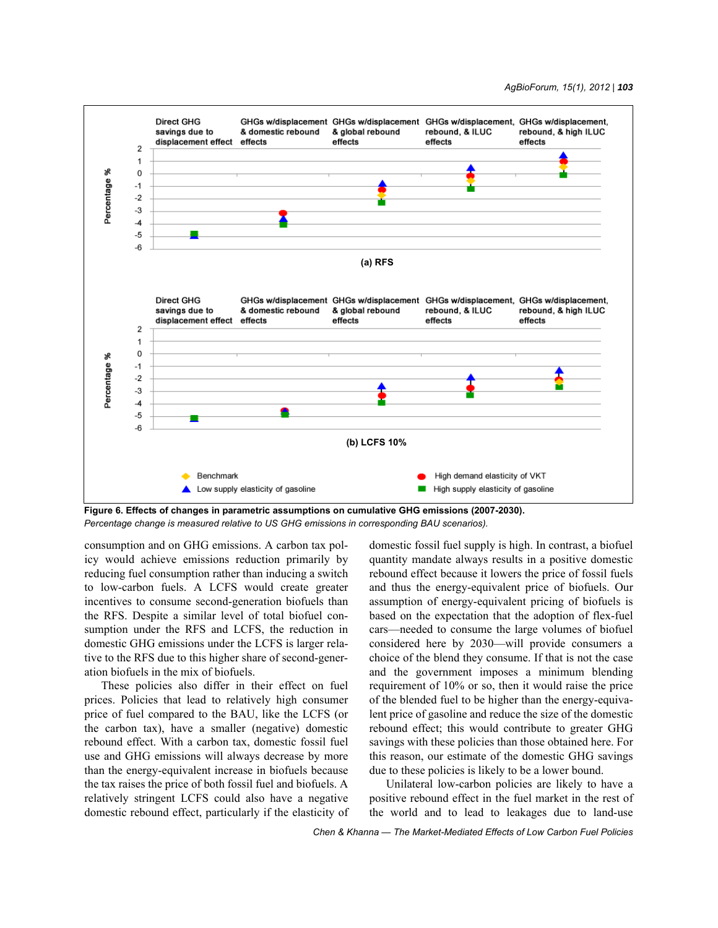

**Figure 6. Effects of changes in parametric assumptions on cumulative GHG emissions (2007-2030).** *Percentage change is measured relative to US GHG emissions in corresponding BAU scenarios).*

consumption and on GHG emissions. A carbon tax policy would achieve emissions reduction primarily by reducing fuel consumption rather than inducing a switch to low-carbon fuels. A LCFS would create greater incentives to consume second-generation biofuels than the RFS. Despite a similar level of total biofuel consumption under the RFS and LCFS, the reduction in domestic GHG emissions under the LCFS is larger relative to the RFS due to this higher share of second-generation biofuels in the mix of biofuels.

These policies also differ in their effect on fuel prices. Policies that lead to relatively high consumer price of fuel compared to the BAU, like the LCFS (or the carbon tax), have a smaller (negative) domestic rebound effect. With a carbon tax, domestic fossil fuel use and GHG emissions will always decrease by more than the energy-equivalent increase in biofuels because the tax raises the price of both fossil fuel and biofuels. A relatively stringent LCFS could also have a negative domestic rebound effect, particularly if the elasticity of domestic fossil fuel supply is high. In contrast, a biofuel quantity mandate always results in a positive domestic rebound effect because it lowers the price of fossil fuels and thus the energy-equivalent price of biofuels. Our assumption of energy-equivalent pricing of biofuels is based on the expectation that the adoption of flex-fuel cars—needed to consume the large volumes of biofuel considered here by 2030—will provide consumers a choice of the blend they consume. If that is not the case and the government imposes a minimum blending requirement of 10% or so, then it would raise the price of the blended fuel to be higher than the energy-equivalent price of gasoline and reduce the size of the domestic rebound effect; this would contribute to greater GHG savings with these policies than those obtained here. For this reason, our estimate of the domestic GHG savings due to these policies is likely to be a lower bound.

Unilateral low-carbon policies are likely to have a positive rebound effect in the fuel market in the rest of the world and to lead to leakages due to land-use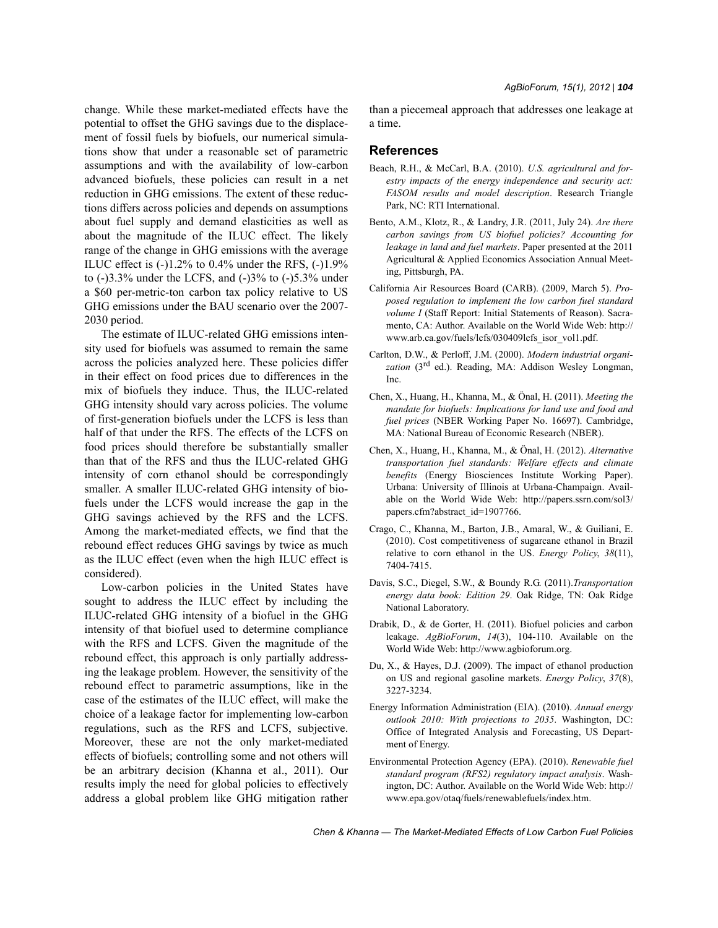change. While these market-mediated effects have the potential to offset the GHG savings due to the displacement of fossil fuels by biofuels, our numerical simulations show that under a reasonable set of parametric assumptions and with the availability of low-carbon advanced biofuels, these policies can result in a net reduction in GHG emissions. The extent of these reductions differs across policies and depends on assumptions about fuel supply and demand elasticities as well as about the magnitude of the ILUC effect. The likely range of the change in GHG emissions with the average ILUC effect is  $(-)1.2\%$  to 0.4% under the RFS,  $(-)1.9\%$ to  $(-)3.3\%$  under the LCFS, and  $(-)3\%$  to  $(-)5.3\%$  under a \$60 per-metric-ton carbon tax policy relative to US GHG emissions under the BAU scenario over the 2007- 2030 period.

The estimate of ILUC-related GHG emissions intensity used for biofuels was assumed to remain the same across the policies analyzed here. These policies differ in their effect on food prices due to differences in the mix of biofuels they induce. Thus, the ILUC-related GHG intensity should vary across policies. The volume of first-generation biofuels under the LCFS is less than half of that under the RFS. The effects of the LCFS on food prices should therefore be substantially smaller than that of the RFS and thus the ILUC-related GHG intensity of corn ethanol should be correspondingly smaller. A smaller ILUC-related GHG intensity of biofuels under the LCFS would increase the gap in the GHG savings achieved by the RFS and the LCFS. Among the market-mediated effects, we find that the rebound effect reduces GHG savings by twice as much as the ILUC effect (even when the high ILUC effect is considered).

Low-carbon policies in the United States have sought to address the ILUC effect by including the ILUC-related GHG intensity of a biofuel in the GHG intensity of that biofuel used to determine compliance with the RFS and LCFS. Given the magnitude of the rebound effect, this approach is only partially addressing the leakage problem. However, the sensitivity of the rebound effect to parametric assumptions, like in the case of the estimates of the ILUC effect, will make the choice of a leakage factor for implementing low-carbon regulations, such as the RFS and LCFS, subjective. Moreover, these are not the only market-mediated effects of biofuels; controlling some and not others will be an arbitrary decision (Khanna et al., 2011). Our results imply the need for global policies to effectively address a global problem like GHG mitigation rather than a piecemeal approach that addresses one leakage at a time.

#### **References**

- Beach, R.H., & McCarl, B.A. (2010). *U.S. agricultural and forestry impacts of the energy independence and security act: FASOM results and model description*. Research Triangle Park, NC: RTI International.
- Bento, A.M., Klotz, R., & Landry, J.R. (2011, July 24). *Are there carbon savings from US biofuel policies? Accounting for leakage in land and fuel markets*. Paper presented at the 2011 Agricultural & Applied Economics Association Annual Meeting, Pittsburgh, PA.
- California Air Resources Board (CARB). (2009, March 5). *Proposed regulation to implement the low carbon fuel standard volume I* (Staff Report: Initial Statements of Reason). Sacramento, CA: Author. Available on the World Wide Web: http:// www.arb.ca.gov/fuels/lcfs/030409lcfs\_isor\_vol1.pdf.
- Carlton, D.W., & Perloff, J.M. (2000). *Modern industrial organi*zation (3<sup>rd</sup> ed.). Reading, MA: Addison Wesley Longman, Inc.
- Chen, X., Huang, H., Khanna, M., & Önal, H. (2011). *Meeting the mandate for biofuels: Implications for land use and food and fuel prices* (NBER Working Paper No. 16697). Cambridge, MA: National Bureau of Economic Research (NBER).
- Chen, X., Huang, H., Khanna, M., & Önal, H. (2012). *Alternative transportation fuel standards: Welfare effects and climate benefits* (Energy Biosciences Institute Working Paper). Urbana: University of Illinois at Urbana-Champaign. Available on the World Wide Web: http://papers.ssrn.com/sol3/ papers.cfm?abstract\_id=1907766.
- Crago, C., Khanna, M., Barton, J.B., Amaral, W., & Guiliani, E. (2010). Cost competitiveness of sugarcane ethanol in Brazil relative to corn ethanol in the US. *Energy Policy*, *38*(11), 7404-7415.
- Davis, S.C., Diegel, S.W., & Boundy R.G. (2011).*Transportation energy data book: Edition 29*. Oak Ridge, TN: Oak Ridge National Laboratory.
- Drabik, D., & de Gorter, H. (2011). Biofuel policies and carbon leakage. *AgBioForum*, *14*(3), 104-110. Available on the World Wide Web: http://www.agbioforum.org.
- Du, X., & Hayes, D.J. (2009). The impact of ethanol production on US and regional gasoline markets. *Energy Policy*, *37*(8), 3227-3234.
- Energy Information Administration (EIA). (2010). *Annual energy outlook 2010: With projections to 2035*. Washington, DC: Office of Integrated Analysis and Forecasting, US Department of Energy.
- Environmental Protection Agency (EPA). (2010). *Renewable fuel standard program (RFS2) regulatory impact analysis*. Washington, DC: Author. Available on the World Wide Web: http:// www.epa.gov/otaq/fuels/renewablefuels/index.htm.